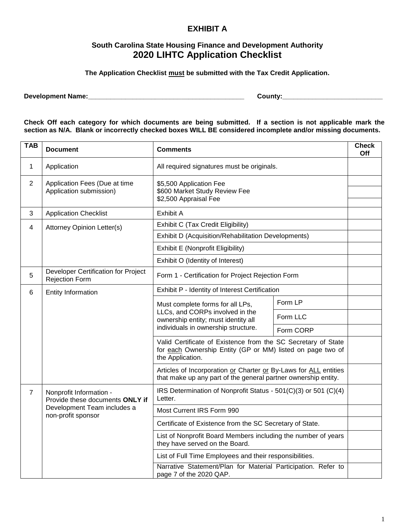## **EXHIBIT A**

## **South Carolina State Housing Finance and Development Authority 2020 LIHTC Application Checklist**

**The Application Checklist must be submitted with the Tax Credit Application.**

**Development Name:\_\_\_\_\_\_\_\_\_\_\_\_\_\_\_\_\_\_\_\_\_\_\_\_\_\_\_\_\_\_\_\_\_\_\_\_\_\_\_\_\_\_ County:\_\_\_\_\_\_\_\_\_\_\_\_\_\_\_\_\_\_\_\_\_\_\_\_\_\_\_**

**Check Off each category for which documents are being submitted. If a section is not applicable mark the section as N/A. Blank or incorrectly checked boxes WILL BE considered incomplete and/or missing documents.**

| <b>TAB</b>     | <b>Document</b>                                                                                                 | <b>Comments</b>                                                                                                                                   |           | <b>Check</b><br><b>Off</b> |
|----------------|-----------------------------------------------------------------------------------------------------------------|---------------------------------------------------------------------------------------------------------------------------------------------------|-----------|----------------------------|
| 1              | Application                                                                                                     | All required signatures must be originals.                                                                                                        |           |                            |
| $\overline{2}$ | Application Fees (Due at time<br>Application submission)                                                        | \$5,500 Application Fee<br>\$600 Market Study Review Fee<br>\$2,500 Appraisal Fee                                                                 |           |                            |
| 3              | <b>Application Checklist</b>                                                                                    | <b>Exhibit A</b>                                                                                                                                  |           |                            |
| $\overline{4}$ | <b>Attorney Opinion Letter(s)</b>                                                                               | Exhibit C (Tax Credit Eligibility)                                                                                                                |           |                            |
|                |                                                                                                                 | Exhibit D (Acquisition/Rehabilitation Developments)                                                                                               |           |                            |
|                |                                                                                                                 | Exhibit E (Nonprofit Eligibility)                                                                                                                 |           |                            |
|                |                                                                                                                 | Exhibit O (Identity of Interest)                                                                                                                  |           |                            |
| 5              | Developer Certification for Project<br><b>Rejection Form</b>                                                    | Form 1 - Certification for Project Rejection Form                                                                                                 |           |                            |
| 6              | <b>Entity Information</b>                                                                                       | Exhibit P - Identity of Interest Certification                                                                                                    |           |                            |
|                |                                                                                                                 | Must complete forms for all LPs,<br>LLCs, and CORPs involved in the<br>ownership entity; must identity all<br>individuals in ownership structure. | Form LP   |                            |
|                |                                                                                                                 |                                                                                                                                                   | Form LLC  |                            |
|                |                                                                                                                 |                                                                                                                                                   | Form CORP |                            |
|                |                                                                                                                 | Valid Certificate of Existence from the SC Secretary of State<br>for each Ownership Entity (GP or MM) listed on page two of<br>the Application.   |           |                            |
|                |                                                                                                                 | Articles of Incorporation or Charter or By-Laws for ALL entities<br>that make up any part of the general partner ownership entity.                |           |                            |
| $\overline{7}$ | Nonprofit Information -<br>Provide these documents ONLY if<br>Development Team includes a<br>non-profit sponsor | IRS Determination of Nonprofit Status - 501(C)(3) or 501 (C)(4)<br>Letter.                                                                        |           |                            |
|                |                                                                                                                 | Most Current IRS Form 990                                                                                                                         |           |                            |
|                |                                                                                                                 | Certificate of Existence from the SC Secretary of State.                                                                                          |           |                            |
|                |                                                                                                                 | List of Nonprofit Board Members including the number of years<br>they have served on the Board.                                                   |           |                            |
|                |                                                                                                                 | List of Full Time Employees and their responsibilities.                                                                                           |           |                            |
|                |                                                                                                                 | Narrative Statement/Plan for Material Participation. Refer to<br>page 7 of the 2020 QAP.                                                          |           |                            |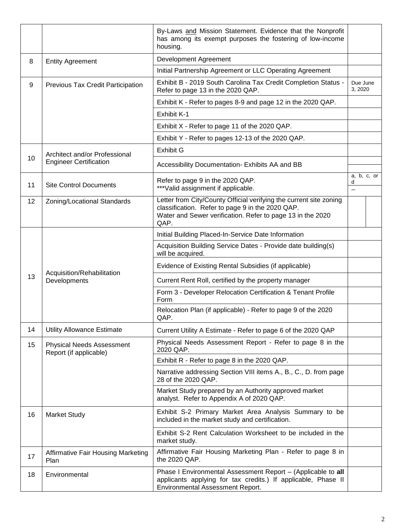|    |                                                                | By-Laws and Mission Statement. Evidence that the Nonprofit<br>has among its exempt purposes the fostering of low-income<br>housing.                                                          |                     |             |
|----|----------------------------------------------------------------|----------------------------------------------------------------------------------------------------------------------------------------------------------------------------------------------|---------------------|-------------|
| 8  | <b>Entity Agreement</b>                                        | Development Agreement                                                                                                                                                                        |                     |             |
|    |                                                                | Initial Partnership Agreement or LLC Operating Agreement                                                                                                                                     |                     |             |
| 9  | Previous Tax Credit Participation                              | Exhibit B - 2019 South Carolina Tax Credit Completion Status -<br>Refer to page 13 in the 2020 QAP.                                                                                          | Due June<br>3, 2020 |             |
|    |                                                                | Exhibit K - Refer to pages 8-9 and page 12 in the 2020 QAP.<br>Exhibit K-1                                                                                                                   |                     |             |
|    |                                                                |                                                                                                                                                                                              |                     |             |
|    |                                                                | Exhibit X - Refer to page 11 of the 2020 QAP.                                                                                                                                                |                     |             |
|    |                                                                | Exhibit Y - Refer to pages 12-13 of the 2020 QAP.                                                                                                                                            |                     |             |
|    | Architect and/or Professional<br><b>Engineer Certification</b> | <b>Exhibit G</b>                                                                                                                                                                             |                     |             |
| 10 |                                                                | Accessibility Documentation- Exhibits AA and BB                                                                                                                                              |                     |             |
| 11 | <b>Site Control Documents</b>                                  | Refer to page 9 in the 2020 QAP.<br>*** Valid assignment if applicable.                                                                                                                      |                     | a, b, c, or |
| 12 | Zoning/Locational Standards                                    | Letter from City/County Official verifying the current site zoning<br>classification. Refer to page 9 in the 2020 QAP.<br>Water and Sewer verification. Refer to page 13 in the 2020<br>QAP. |                     |             |
|    | Acquisition/Rehabilitation<br>Developments                     | Initial Building Placed-In-Service Date Information                                                                                                                                          |                     |             |
|    |                                                                | Acquisition Building Service Dates - Provide date building(s)<br>will be acquired.                                                                                                           |                     |             |
|    |                                                                | Evidence of Existing Rental Subsidies (if applicable)                                                                                                                                        |                     |             |
| 13 |                                                                | Current Rent Roll, certified by the property manager                                                                                                                                         |                     |             |
|    |                                                                | Form 3 - Developer Relocation Certification & Tenant Profile<br>Form                                                                                                                         |                     |             |
|    |                                                                | Relocation Plan (if applicable) - Refer to page 9 of the 2020<br>QAP.                                                                                                                        |                     |             |
| 14 | <b>Utility Allowance Estimate</b>                              | Current Utility A Estimate - Refer to page 6 of the 2020 QAP                                                                                                                                 |                     |             |
| 15 | <b>Physical Needs Assessment</b><br>Report (if applicable)     | Physical Needs Assessment Report - Refer to page 8 in the<br>2020 QAP.                                                                                                                       |                     |             |
|    |                                                                | Exhibit R - Refer to page 8 in the 2020 QAP.                                                                                                                                                 |                     |             |
|    |                                                                | Narrative addressing Section VIII items A., B., C., D. from page<br>28 of the 2020 QAP.                                                                                                      |                     |             |
|    |                                                                | Market Study prepared by an Authority approved market<br>analyst. Refer to Appendix A of 2020 QAP.                                                                                           |                     |             |
| 16 | <b>Market Study</b>                                            | Exhibit S-2 Primary Market Area Analysis Summary to be<br>included in the market study and certification.                                                                                    |                     |             |
|    |                                                                | Exhibit S-2 Rent Calculation Worksheet to be included in the<br>market study.                                                                                                                |                     |             |
| 17 | <b>Affirmative Fair Housing Marketing</b><br>Plan              | Affirmative Fair Housing Marketing Plan - Refer to page 8 in<br>the 2020 QAP.                                                                                                                |                     |             |
| 18 | Environmental                                                  | Phase I Environmental Assessment Report - (Applicable to all<br>applicants applying for tax credits.) If applicable, Phase II<br>Environmental Assessment Report.                            |                     |             |